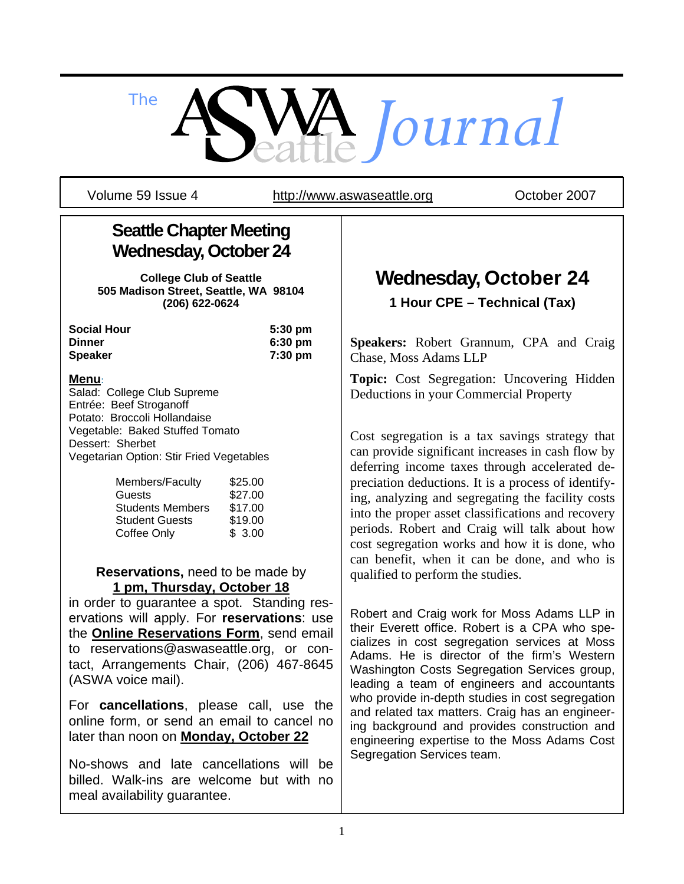*The Journal*

Volume 59 Issue 4 http://www.aswaseattle.org Corober 2007

## **Seattle Chapter Meeting Wednesday, October 24**

**College Club of Seattle 505 Madison Street, Seattle, WA 98104 (206) 622-0624** 

| <b>Social Hour</b> | $5:30 \text{ pm}$ |
|--------------------|-------------------|
| Dinner             | $6:30 \text{ pm}$ |
| Speaker            | $7:30$ pm         |

#### **Menu**:

Salad: College Club Supreme Entrée: Beef Stroganoff Potato: Broccoli Hollandaise Vegetable: Baked Stuffed Tomato Dessert: Sherbet Vegetarian Option: Stir Fried Vegetables

| Members/Faculty         | \$25.00 |
|-------------------------|---------|
| Guests                  | \$27.00 |
| <b>Students Members</b> | \$17.00 |
| <b>Student Guests</b>   | \$19.00 |
| Coffee Only             | \$3.00  |

#### **Reservations,** need to be made by **1 pm, Thursday, October 18**

in order to guarantee a spot. Standing reservations will apply. For **reservations**: use the **Online Reservations Form**, send email to reservations@aswaseattle.org, or contact, Arrangements Chair, (206) 467-8645 (ASWA voice mail).

For **cancellations**, please call, use the online form, or send an email to cancel no later than noon on **Monday, October 22**

No-shows and late cancellations will be billed. Walk-ins are welcome but with no meal availability guarantee.

# **Wednesday, October 24 1 Hour CPE – Technical (Tax)**

**Speakers:** Robert Grannum, CPA and Craig Chase, Moss Adams LLP

**Topic:** Cost Segregation: Uncovering Hidden Deductions in your Commercial Property

Cost segregation is a tax savings strategy that can provide significant increases in cash flow by deferring income taxes through accelerated depreciation deductions. It is a process of identifying, analyzing and segregating the facility costs into the proper asset classifications and recovery periods. Robert and Craig will talk about how cost segregation works and how it is done, who can benefit, when it can be done, and who is qualified to perform the studies.

Robert and Craig work for Moss Adams LLP in their Everett office. Robert is a CPA who specializes in cost segregation services at Moss Adams. He is director of the firm's Western Washington Costs Segregation Services group, leading a team of engineers and accountants who provide in-depth studies in cost segregation and related tax matters. Craig has an engineering background and provides construction and engineering expertise to the Moss Adams Cost Segregation Services team.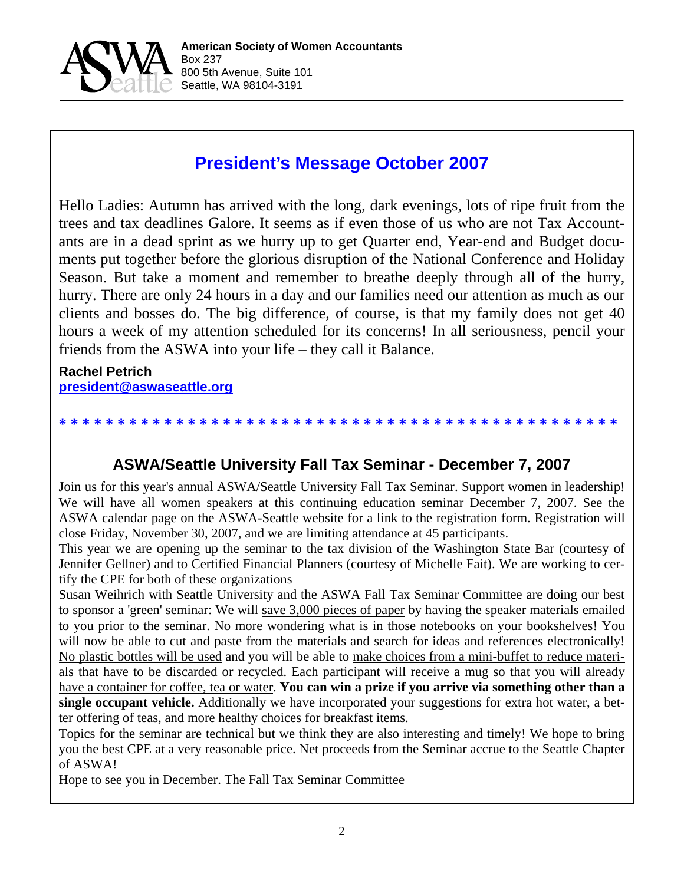

## **President's Message October 2007**

Hello Ladies: Autumn has arrived with the long, dark evenings, lots of ripe fruit from the trees and tax deadlines Galore. It seems as if even those of us who are not Tax Accountants are in a dead sprint as we hurry up to get Quarter end, Year-end and Budget documents put together before the glorious disruption of the National Conference and Holiday Season. But take a moment and remember to breathe deeply through all of the hurry, hurry. There are only 24 hours in a day and our families need our attention as much as our clients and bosses do. The big difference, of course, is that my family does not get 40 hours a week of my attention scheduled for its concerns! In all seriousness, pencil your friends from the ASWA into your life – they call it Balance.

#### **Rachel Petrich president@aswaseattle.org**

# **ASWA/Seattle University Fall Tax Seminar - December 7, 2007**

**\* \* \* \* \* \* \* \* \* \* \* \* \* \* \* \* \* \* \* \* \* \* \* \* \* \* \* \* \* \* \* \* \* \* \* \* \* \* \* \* \* \* \* \* \* \* \* \***

Join us for this year's annual ASWA/Seattle University Fall Tax Seminar. Support women in leadership! We will have all women speakers at this continuing education seminar December 7, 2007. See the ASWA calendar page on the ASWA-Seattle website for a link to the registration form. Registration will close Friday, November 30, 2007, and we are limiting attendance at 45 participants.

This year we are opening up the seminar to the tax division of the Washington State Bar (courtesy of Jennifer Gellner) and to Certified Financial Planners (courtesy of Michelle Fait). We are working to certify the CPE for both of these organizations

Susan Weihrich with Seattle University and the ASWA Fall Tax Seminar Committee are doing our best to sponsor a 'green' seminar: We will save 3,000 pieces of paper by having the speaker materials emailed to you prior to the seminar. No more wondering what is in those notebooks on your bookshelves! You will now be able to cut and paste from the materials and search for ideas and references electronically! No plastic bottles will be used and you will be able to make choices from a mini-buffet to reduce materials that have to be discarded or recycled. Each participant will receive a mug so that you will already have a container for coffee, tea or water. **You can win a prize if you arrive via something other than a single occupant vehicle.** Additionally we have incorporated your suggestions for extra hot water, a better offering of teas, and more healthy choices for breakfast items.

Topics for the seminar are technical but we think they are also interesting and timely! We hope to bring you the best CPE at a very reasonable price. Net proceeds from the Seminar accrue to the Seattle Chapter of ASWA!

Hope to see you in December. The Fall Tax Seminar Committee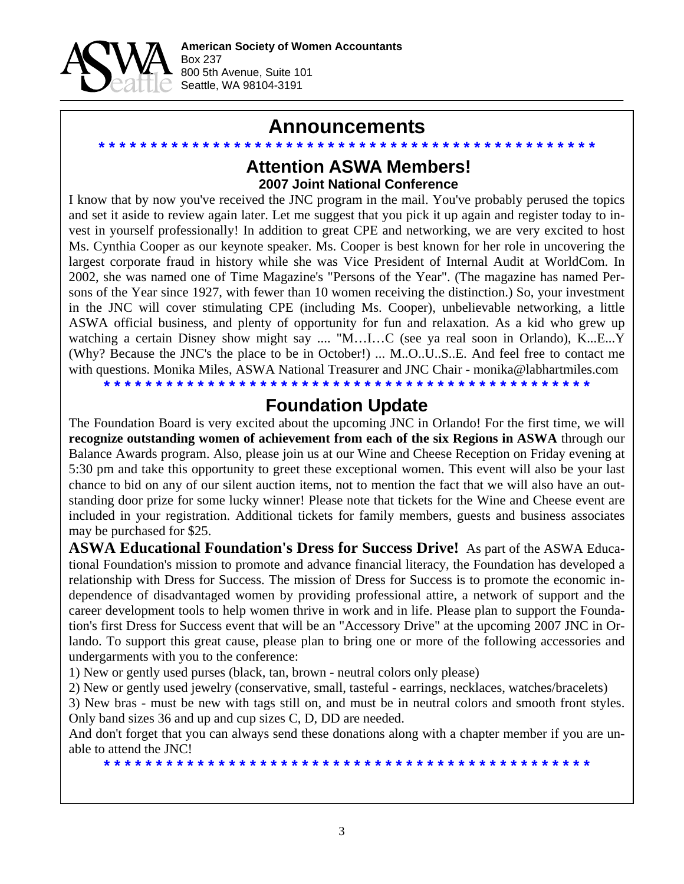

### **Announcements**

### **\* \* \* \* \* \* \* \* \* \* \* \* \* \* \* \* \* \* \* \* \* \* \* \* \* \* \* \* \* \* \* \* \* \* \* \* \* \* \* \* \* \* \* \* \* \* \* \* Attention ASWA Members! 2007 Joint National Conference**

I know that by now you've received the JNC program in the mail. You've probably perused the topics and set it aside to review again later. Let me suggest that you pick it up again and register today to invest in yourself professionally! In addition to great CPE and networking, we are very excited to host Ms. Cynthia Cooper as our keynote speaker. Ms. Cooper is best known for her role in uncovering the largest corporate fraud in history while she was Vice President of Internal Audit at WorldCom. In 2002, she was named one of Time Magazine's "Persons of the Year". (The magazine has named Persons of the Year since 1927, with fewer than 10 women receiving the distinction.) So, your investment in the JNC will cover stimulating CPE (including Ms. Cooper), unbelievable networking, a little ASWA official business, and plenty of opportunity for fun and relaxation. As a kid who grew up watching a certain Disney show might say .... "M…I…C (see ya real soon in Orlando), K...E...Y (Why? Because the JNC's the place to be in October!) ... M..O..U..S..E. And feel free to contact me with questions. Monika Miles, ASWA National Treasurer and JNC Chair - monika@labhartmiles.com

**\* \* \* \* \* \* \* \* \* \* \* \* \* \* \* \* \* \* \* \* \* \* \* \* \* \* \* \* \* \* \* \* \* \* \* \* \* \* \* \* \* \* \* \* \* \* \***

### **Foundation Update**

The Foundation Board is very excited about the upcoming JNC in Orlando! For the first time, we will **recognize outstanding women of achievement from each of the six Regions in ASWA** through our Balance Awards program. Also, please join us at our Wine and Cheese Reception on Friday evening at 5:30 pm and take this opportunity to greet these exceptional women. This event will also be your last chance to bid on any of our silent auction items, not to mention the fact that we will also have an outstanding door prize for some lucky winner! Please note that tickets for the Wine and Cheese event are included in your registration. Additional tickets for family members, guests and business associates may be purchased for \$25.

**ASWA Educational Foundation's Dress for Success Drive!** As part of the ASWA Educational Foundation's mission to promote and advance financial literacy, the Foundation has developed a relationship with Dress for Success. The mission of Dress for Success is to promote the economic independence of disadvantaged women by providing professional attire, a network of support and the career development tools to help women thrive in work and in life. Please plan to support the Foundation's first Dress for Success event that will be an "Accessory Drive" at the upcoming 2007 JNC in Orlando. To support this great cause, please plan to bring one or more of the following accessories and undergarments with you to the conference:

1) New or gently used purses (black, tan, brown - neutral colors only please)

2) New or gently used jewelry (conservative, small, tasteful - earrings, necklaces, watches/bracelets)

3) New bras - must be new with tags still on, and must be in neutral colors and smooth front styles. Only band sizes 36 and up and cup sizes C, D, DD are needed.

And don't forget that you can always send these donations along with a chapter member if you are unable to attend the JNC!

**\* \* \* \* \* \* \* \* \* \* \* \* \* \* \* \* \* \* \* \* \* \* \* \* \* \* \* \* \* \* \* \* \* \* \* \* \* \* \* \* \* \* \* \* \* \* \***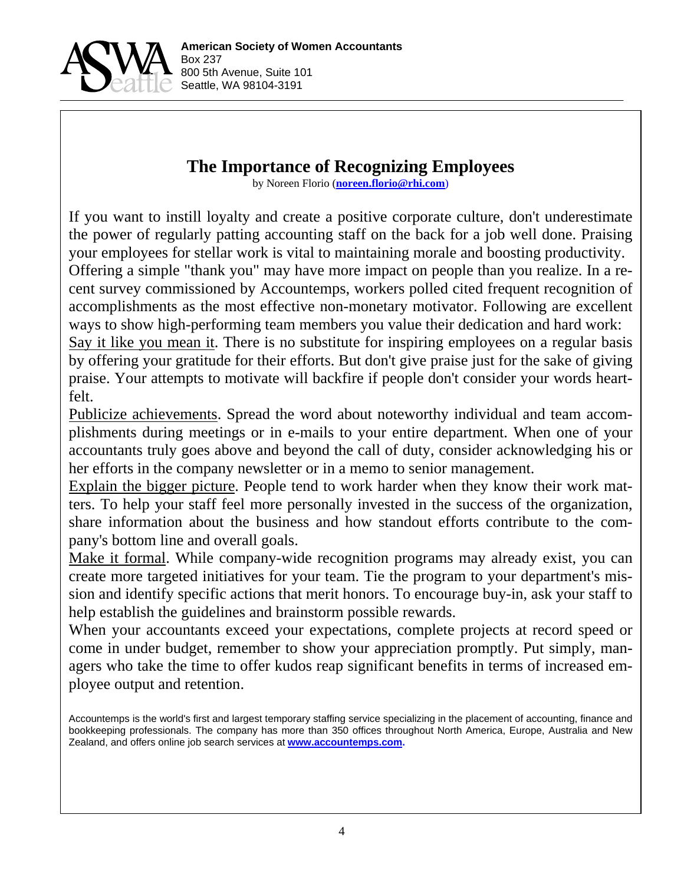

### **The Importance of Recognizing Employees**

by Noreen Florio (**noreen.florio@rhi.com**)

If you want to instill loyalty and create a positive corporate culture, don't underestimate the power of regularly patting accounting staff on the back for a job well done. Praising your employees for stellar work is vital to maintaining morale and boosting productivity. Offering a simple "thank you" may have more impact on people than you realize. In a recent survey commissioned by Accountemps, workers polled cited frequent recognition of accomplishments as the most effective non-monetary motivator. Following are excellent ways to show high-performing team members you value their dedication and hard work: Say it like you mean it. There is no substitute for inspiring employees on a regular basis by offering your gratitude for their efforts. But don't give praise just for the sake of giving praise. Your attempts to motivate will backfire if people don't consider your words heart-

felt.

Publicize achievements. Spread the word about noteworthy individual and team accomplishments during meetings or in e-mails to your entire department. When one of your accountants truly goes above and beyond the call of duty, consider acknowledging his or her efforts in the company newsletter or in a memo to senior management.

Explain the bigger picture. People tend to work harder when they know their work matters. To help your staff feel more personally invested in the success of the organization, share information about the business and how standout efforts contribute to the company's bottom line and overall goals.

Make it formal. While company-wide recognition programs may already exist, you can create more targeted initiatives for your team. Tie the program to your department's mission and identify specific actions that merit honors. To encourage buy-in, ask your staff to help establish the guidelines and brainstorm possible rewards.

When your accountants exceed your expectations, complete projects at record speed or come in under budget, remember to show your appreciation promptly. Put simply, managers who take the time to offer kudos reap significant benefits in terms of increased employee output and retention.

Accountemps is the world's first and largest temporary staffing service specializing in the placement of accounting, finance and bookkeeping professionals. The company has more than 350 offices throughout North America, Europe, Australia and New Zealand, and offers online job search services at **www.accountemps.com.**